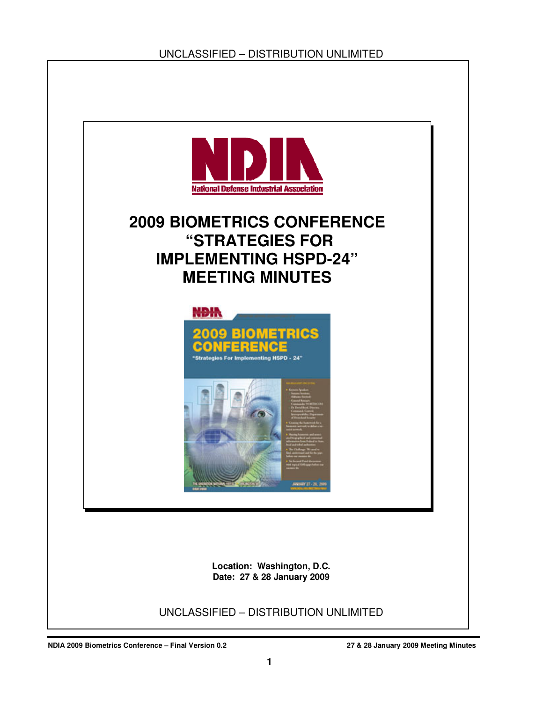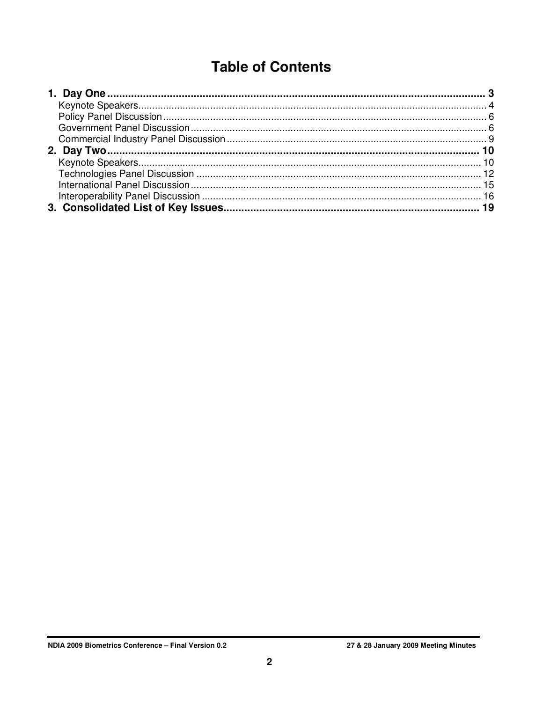# **Table of Contents**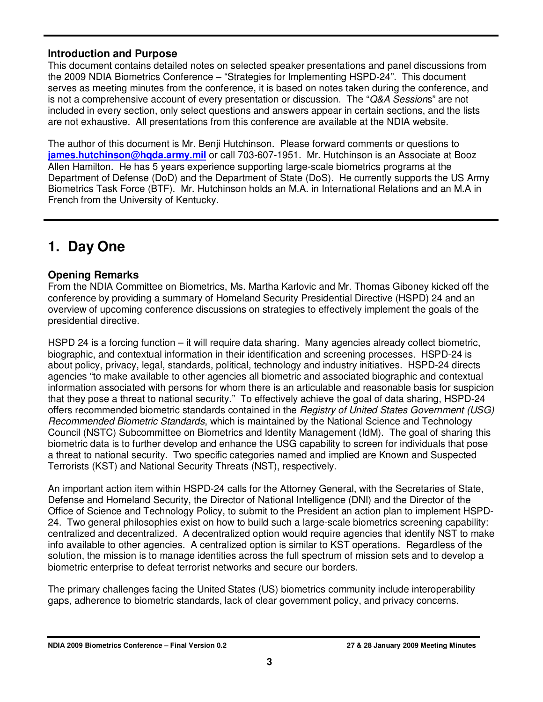## **Introduction and Purpose**

This document contains detailed notes on selected speaker presentations and panel discussions from the 2009 NDIA Biometrics Conference – "Strategies for Implementing HSPD-24". This document serves as meeting minutes from the conference, it is based on notes taken during the conference, and is not a comprehensive account of every presentation or discussion. The "Q&A Sessions" are not included in every section, only select questions and answers appear in certain sections, and the lists are not exhaustive. All presentations from this conference are available at the NDIA website.

The author of this document is Mr. Benji Hutchinson. Please forward comments or questions to **james.hutchinson@hqda.army.mil** or call 703-607-1951. Mr. Hutchinson is an Associate at Booz Allen Hamilton. He has 5 years experience supporting large-scale biometrics programs at the Department of Defense (DoD) and the Department of State (DoS). He currently supports the US Army Biometrics Task Force (BTF). Mr. Hutchinson holds an M.A. in International Relations and an M.A in French from the University of Kentucky.

## **1. Day One**

## **Opening Remarks**

From the NDIA Committee on Biometrics, Ms. Martha Karlovic and Mr. Thomas Giboney kicked off the conference by providing a summary of Homeland Security Presidential Directive (HSPD) 24 and an overview of upcoming conference discussions on strategies to effectively implement the goals of the presidential directive.

HSPD 24 is a forcing function – it will require data sharing. Many agencies already collect biometric, biographic, and contextual information in their identification and screening processes. HSPD-24 is about policy, privacy, legal, standards, political, technology and industry initiatives. HSPD-24 directs agencies "to make available to other agencies all biometric and associated biographic and contextual information associated with persons for whom there is an articulable and reasonable basis for suspicion that they pose a threat to national security." To effectively achieve the goal of data sharing, HSPD-24 offers recommended biometric standards contained in the Registry of United States Government (USG) Recommended Biometric Standards, which is maintained by the National Science and Technology Council (NSTC) Subcommittee on Biometrics and Identity Management (IdM). The goal of sharing this biometric data is to further develop and enhance the USG capability to screen for individuals that pose a threat to national security. Two specific categories named and implied are Known and Suspected Terrorists (KST) and National Security Threats (NST), respectively.

An important action item within HSPD-24 calls for the Attorney General, with the Secretaries of State, Defense and Homeland Security, the Director of National Intelligence (DNI) and the Director of the Office of Science and Technology Policy, to submit to the President an action plan to implement HSPD-24. Two general philosophies exist on how to build such a large-scale biometrics screening capability: centralized and decentralized. A decentralized option would require agencies that identify NST to make info available to other agencies. A centralized option is similar to KST operations. Regardless of the solution, the mission is to manage identities across the full spectrum of mission sets and to develop a biometric enterprise to defeat terrorist networks and secure our borders.

The primary challenges facing the United States (US) biometrics community include interoperability gaps, adherence to biometric standards, lack of clear government policy, and privacy concerns.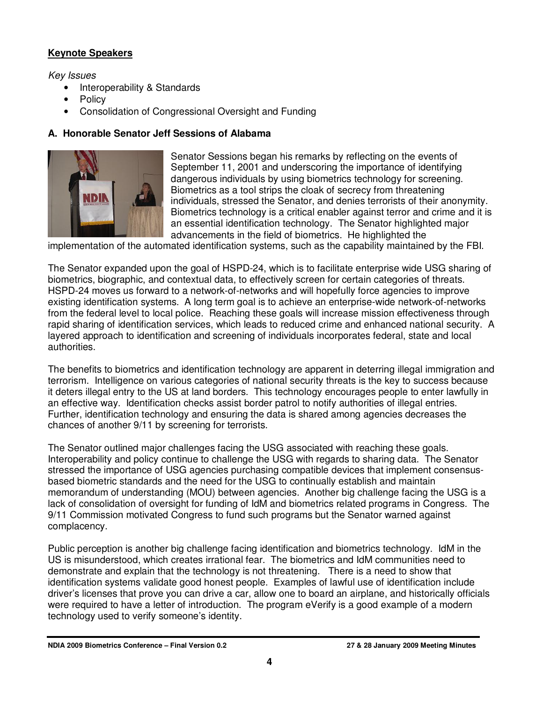## **Keynote Speakers**

Key Issues

- Interoperability & Standards
- **Policy**
- Consolidation of Congressional Oversight and Funding

#### **A. Honorable Senator Jeff Sessions of Alabama**



Senator Sessions began his remarks by reflecting on the events of September 11, 2001 and underscoring the importance of identifying dangerous individuals by using biometrics technology for screening. Biometrics as a tool strips the cloak of secrecy from threatening individuals, stressed the Senator, and denies terrorists of their anonymity. Biometrics technology is a critical enabler against terror and crime and it is an essential identification technology. The Senator highlighted major advancements in the field of biometrics. He highlighted the

implementation of the automated identification systems, such as the capability maintained by the FBI.

The Senator expanded upon the goal of HSPD-24, which is to facilitate enterprise wide USG sharing of biometrics, biographic, and contextual data, to effectively screen for certain categories of threats. HSPD-24 moves us forward to a network-of-networks and will hopefully force agencies to improve existing identification systems. A long term goal is to achieve an enterprise-wide network-of-networks from the federal level to local police. Reaching these goals will increase mission effectiveness through rapid sharing of identification services, which leads to reduced crime and enhanced national security. A layered approach to identification and screening of individuals incorporates federal, state and local authorities.

The benefits to biometrics and identification technology are apparent in deterring illegal immigration and terrorism. Intelligence on various categories of national security threats is the key to success because it deters illegal entry to the US at land borders. This technology encourages people to enter lawfully in an effective way. Identification checks assist border patrol to notify authorities of illegal entries. Further, identification technology and ensuring the data is shared among agencies decreases the chances of another 9/11 by screening for terrorists.

The Senator outlined major challenges facing the USG associated with reaching these goals. Interoperability and policy continue to challenge the USG with regards to sharing data. The Senator stressed the importance of USG agencies purchasing compatible devices that implement consensusbased biometric standards and the need for the USG to continually establish and maintain memorandum of understanding (MOU) between agencies. Another big challenge facing the USG is a lack of consolidation of oversight for funding of IdM and biometrics related programs in Congress. The 9/11 Commission motivated Congress to fund such programs but the Senator warned against complacency.

Public perception is another big challenge facing identification and biometrics technology. IdM in the US is misunderstood, which creates irrational fear. The biometrics and IdM communities need to demonstrate and explain that the technology is not threatening. There is a need to show that identification systems validate good honest people. Examples of lawful use of identification include driver's licenses that prove you can drive a car, allow one to board an airplane, and historically officials were required to have a letter of introduction. The program eVerify is a good example of a modern technology used to verify someone's identity.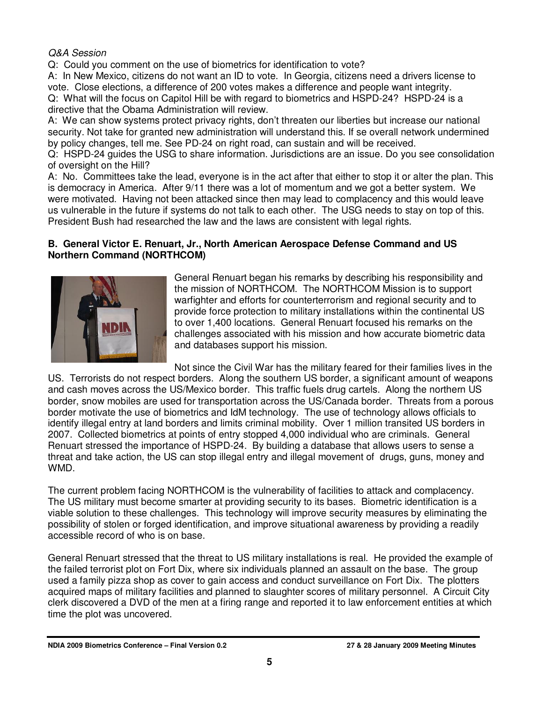## Q&A Session

Q: Could you comment on the use of biometrics for identification to vote?

A: In New Mexico, citizens do not want an ID to vote. In Georgia, citizens need a drivers license to vote. Close elections, a difference of 200 votes makes a difference and people want integrity. Q: What will the focus on Capitol Hill be with regard to biometrics and HSPD-24? HSPD-24 is a directive that the Obama Administration will review.

A: We can show systems protect privacy rights, don't threaten our liberties but increase our national security. Not take for granted new administration will understand this. If se overall network undermined by policy changes, tell me. See PD-24 on right road, can sustain and will be received.

Q: HSPD-24 guides the USG to share information. Jurisdictions are an issue. Do you see consolidation of oversight on the Hill?

A: No. Committees take the lead, everyone is in the act after that either to stop it or alter the plan. This is democracy in America. After 9/11 there was a lot of momentum and we got a better system. We were motivated. Having not been attacked since then may lead to complacency and this would leave us vulnerable in the future if systems do not talk to each other. The USG needs to stay on top of this. President Bush had researched the law and the laws are consistent with legal rights.

#### **B. General Victor E. Renuart, Jr., North American Aerospace Defense Command and US Northern Command (NORTHCOM)**



General Renuart began his remarks by describing his responsibility and the mission of NORTHCOM. The NORTHCOM Mission is to support warfighter and efforts for counterterrorism and regional security and to provide force protection to military installations within the continental US to over 1,400 locations. General Renuart focused his remarks on the challenges associated with his mission and how accurate biometric data and databases support his mission.

Not since the Civil War has the military feared for their families lives in the US. Terrorists do not respect borders. Along the southern US border, a significant amount of weapons and cash moves across the US/Mexico border. This traffic fuels drug cartels. Along the northern US border, snow mobiles are used for transportation across the US/Canada border. Threats from a porous border motivate the use of biometrics and IdM technology. The use of technology allows officials to identify illegal entry at land borders and limits criminal mobility. Over 1 million transited US borders in 2007. Collected biometrics at points of entry stopped 4,000 individual who are criminals. General Renuart stressed the importance of HSPD-24. By building a database that allows users to sense a threat and take action, the US can stop illegal entry and illegal movement of drugs, guns, money and WMD.

The current problem facing NORTHCOM is the vulnerability of facilities to attack and complacency. The US military must become smarter at providing security to its bases. Biometric identification is a viable solution to these challenges. This technology will improve security measures by eliminating the possibility of stolen or forged identification, and improve situational awareness by providing a readily accessible record of who is on base.

General Renuart stressed that the threat to US military installations is real. He provided the example of the failed terrorist plot on Fort Dix, where six individuals planned an assault on the base. The group used a family pizza shop as cover to gain access and conduct surveillance on Fort Dix. The plotters acquired maps of military facilities and planned to slaughter scores of military personnel. A Circuit City clerk discovered a DVD of the men at a firing range and reported it to law enforcement entities at which time the plot was uncovered.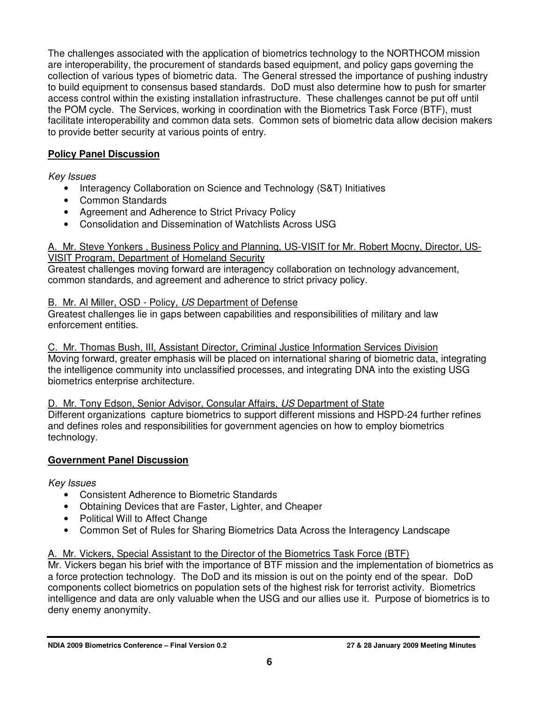The challenges associated with the application of biometrics technology to the NORTHCOM mission are interoperability, the procurement of standards based equipment, and policy gaps governing the collection of various types of biometric data. The General stressed the importance of pushing industry to build equipment to consensus based standards. DoD must also determine how to push for smarter access control within the existing installation infrastructure. These challenges cannot be put off until the POM cycle. The Services, working in coordination with the Biometrics Task Force (BTF), must facilitate interoperability and common data sets. Common sets of biometric data allow decision makers to provide better security at various points of entry.

## **Policy Panel Discussion**

Key Issues

- Interagency Collaboration on Science and Technology (S&T) Initiatives
- Common Standards
- Agreement and Adherence to Strict Privacy Policy
- Consolidation and Dissemination of Watchlists Across USG

#### A. Mr. Steve Yonkers , Business Policy and Planning, US-VISIT for Mr. Robert Mocny, Director, US-VISIT Program, Department of Homeland Security

Greatest challenges moving forward are interagency collaboration on technology advancement, common standards, and agreement and adherence to strict privacy policy.

## B. Mr. Al Miller, OSD - Policy, US Department of Defense

Greatest challenges lie in gaps between capabilities and responsibilities of military and law enforcement entities.

C. Mr. Thomas Bush, III, Assistant Director, Criminal Justice Information Services Division Moving forward, greater emphasis will be placed on international sharing of biometric data, integrating the intelligence community into unclassified processes, and integrating DNA into the existing USG biometrics enterprise architecture.

## D. Mr. Tony Edson, Senior Advisor, Consular Affairs, US Department of State

Different organizations capture biometrics to support different missions and HSPD-24 further refines and defines roles and responsibilities for government agencies on how to employ biometrics technology.

## **Government Panel Discussion**

Key Issues

- Consistent Adherence to Biometric Standards
- Obtaining Devices that are Faster, Lighter, and Cheaper
- Political Will to Affect Change
- Common Set of Rules for Sharing Biometrics Data Across the Interagency Landscape

## A. Mr. Vickers, Special Assistant to the Director of the Biometrics Task Force (BTF)

Mr. Vickers began his brief with the importance of BTF mission and the implementation of biometrics as a force protection technology. The DoD and its mission is out on the pointy end of the spear. DoD components collect biometrics on population sets of the highest risk for terrorist activity. Biometrics intelligence and data are only valuable when the USG and our allies use it. Purpose of biometrics is to deny enemy anonymity.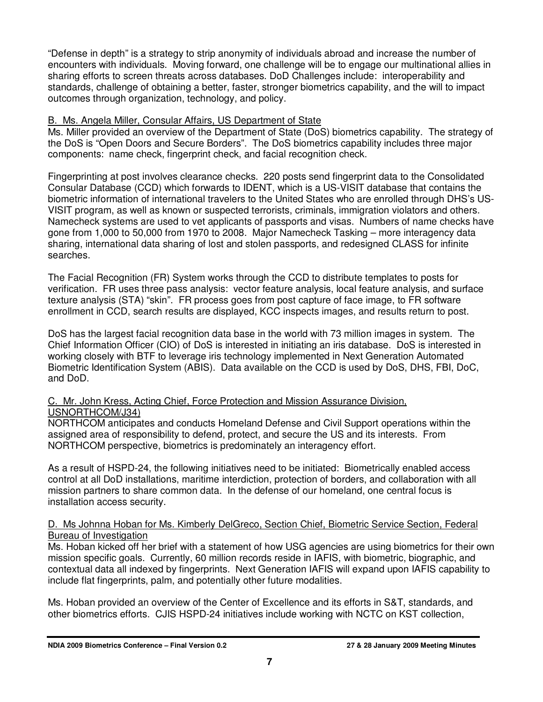"Defense in depth" is a strategy to strip anonymity of individuals abroad and increase the number of encounters with individuals. Moving forward, one challenge will be to engage our multinational allies in sharing efforts to screen threats across databases. DoD Challenges include: interoperability and standards, challenge of obtaining a better, faster, stronger biometrics capability, and the will to impact outcomes through organization, technology, and policy.

#### B. Ms. Angela Miller, Consular Affairs, US Department of State

Ms. Miller provided an overview of the Department of State (DoS) biometrics capability. The strategy of the DoS is "Open Doors and Secure Borders". The DoS biometrics capability includes three major components: name check, fingerprint check, and facial recognition check.

Fingerprinting at post involves clearance checks. 220 posts send fingerprint data to the Consolidated Consular Database (CCD) which forwards to IDENT, which is a US-VISIT database that contains the biometric information of international travelers to the United States who are enrolled through DHS's US-VISIT program, as well as known or suspected terrorists, criminals, immigration violators and others. Namecheck systems are used to vet applicants of passports and visas. Numbers of name checks have gone from 1,000 to 50,000 from 1970 to 2008. Major Namecheck Tasking – more interagency data sharing, international data sharing of lost and stolen passports, and redesigned CLASS for infinite searches.

The Facial Recognition (FR) System works through the CCD to distribute templates to posts for verification. FR uses three pass analysis: vector feature analysis, local feature analysis, and surface texture analysis (STA) "skin". FR process goes from post capture of face image, to FR software enrollment in CCD, search results are displayed, KCC inspects images, and results return to post.

DoS has the largest facial recognition data base in the world with 73 million images in system. The Chief Information Officer (CIO) of DoS is interested in initiating an iris database. DoS is interested in working closely with BTF to leverage iris technology implemented in Next Generation Automated Biometric Identification System (ABIS). Data available on the CCD is used by DoS, DHS, FBI, DoC, and DoD.

#### C. Mr. John Kress, Acting Chief, Force Protection and Mission Assurance Division, USNORTHCOM/J34)

NORTHCOM anticipates and conducts Homeland Defense and Civil Support operations within the assigned area of responsibility to defend, protect, and secure the US and its interests. From NORTHCOM perspective, biometrics is predominately an interagency effort.

As a result of HSPD-24, the following initiatives need to be initiated: Biometrically enabled access control at all DoD installations, maritime interdiction, protection of borders, and collaboration with all mission partners to share common data. In the defense of our homeland, one central focus is installation access security.

#### D. Ms Johnna Hoban for Ms. Kimberly DelGreco, Section Chief, Biometric Service Section, Federal Bureau of Investigation

Ms. Hoban kicked off her brief with a statement of how USG agencies are using biometrics for their own mission specific goals. Currently, 60 million records reside in IAFIS, with biometric, biographic, and contextual data all indexed by fingerprints. Next Generation IAFIS will expand upon IAFIS capability to include flat fingerprints, palm, and potentially other future modalities.

Ms. Hoban provided an overview of the Center of Excellence and its efforts in S&T, standards, and other biometrics efforts. CJIS HSPD-24 initiatives include working with NCTC on KST collection,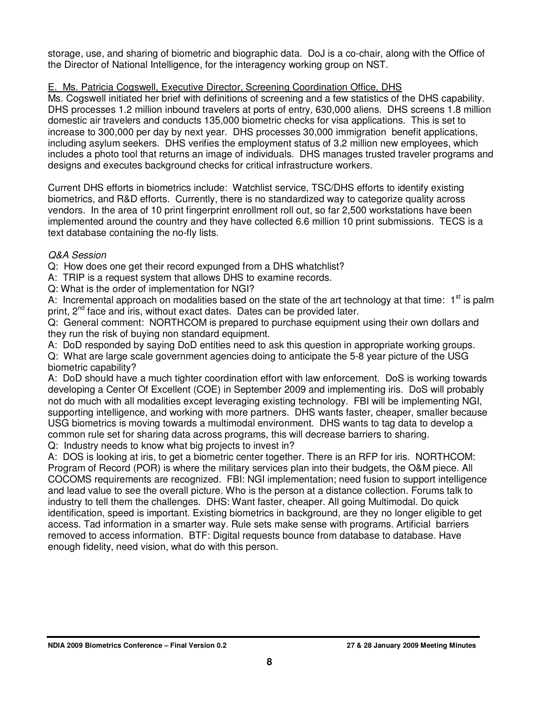storage, use, and sharing of biometric and biographic data. DoJ is a co-chair, along with the Office of the Director of National Intelligence, for the interagency working group on NST.

## E. Ms. Patricia Cogswell, Executive Director, Screening Coordination Office, DHS

Ms. Cogswell initiated her brief with definitions of screening and a few statistics of the DHS capability. DHS processes 1.2 million inbound travelers at ports of entry, 630,000 aliens. DHS screens 1.8 million domestic air travelers and conducts 135,000 biometric checks for visa applications. This is set to increase to 300,000 per day by next year. DHS processes 30,000 immigration benefit applications, including asylum seekers. DHS verifies the employment status of 3.2 million new employees, which includes a photo tool that returns an image of individuals. DHS manages trusted traveler programs and designs and executes background checks for critical infrastructure workers.

Current DHS efforts in biometrics include: Watchlist service, TSC/DHS efforts to identify existing biometrics, and R&D efforts. Currently, there is no standardized way to categorize quality across vendors. In the area of 10 print fingerprint enrollment roll out, so far 2,500 workstations have been implemented around the country and they have collected 6.6 million 10 print submissions. TECS is a text database containing the no-fly lists.

#### Q&A Session

Q: How does one get their record expunged from a DHS whatchlist?

A: TRIP is a request system that allows DHS to examine records.

Q: What is the order of implementation for NGI?

A: Incremental approach on modalities based on the state of the art technology at that time:  $1<sup>st</sup>$  is palm print, 2<sup>nd</sup> face and iris, without exact dates. Dates can be provided later.

Q: General comment: NORTHCOM is prepared to purchase equipment using their own dollars and they run the risk of buying non standard equipment.

A: DoD responded by saying DoD entities need to ask this question in appropriate working groups.

Q: What are large scale government agencies doing to anticipate the 5-8 year picture of the USG biometric capability?

A: DoD should have a much tighter coordination effort with law enforcement. DoS is working towards developing a Center Of Excellent (COE) in September 2009 and implementing iris. DoS will probably not do much with all modalities except leveraging existing technology. FBI will be implementing NGI, supporting intelligence, and working with more partners. DHS wants faster, cheaper, smaller because USG biometrics is moving towards a multimodal environment. DHS wants to tag data to develop a common rule set for sharing data across programs, this will decrease barriers to sharing.

Q: Industry needs to know what big projects to invest in?

A: DOS is looking at iris, to get a biometric center together. There is an RFP for iris. NORTHCOM: Program of Record (POR) is where the military services plan into their budgets, the O&M piece. All COCOMS requirements are recognized. FBI: NGI implementation; need fusion to support intelligence and lead value to see the overall picture. Who is the person at a distance collection. Forums talk to industry to tell them the challenges. DHS: Want faster, cheaper. All going Multimodal. Do quick identification, speed is important. Existing biometrics in background, are they no longer eligible to get access. Tad information in a smarter way. Rule sets make sense with programs. Artificial barriers removed to access information. BTF: Digital requests bounce from database to database. Have enough fidelity, need vision, what do with this person.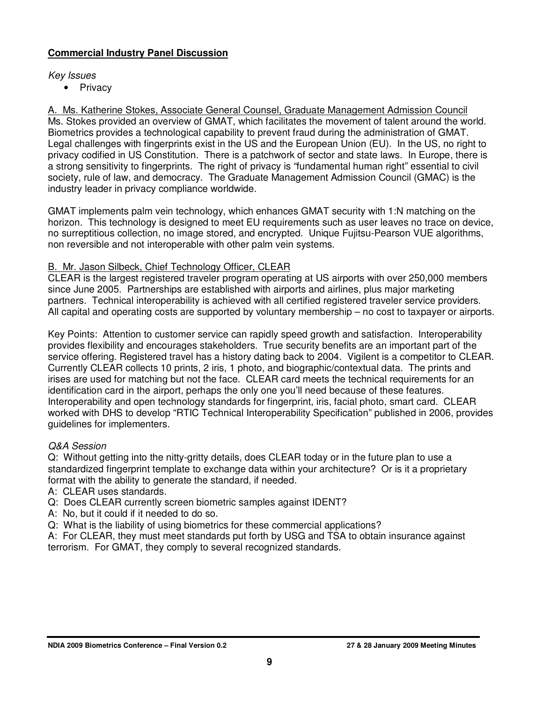## **Commercial Industry Panel Discussion**

#### Key Issues

• Privacy

A. Ms. Katherine Stokes, Associate General Counsel, Graduate Management Admission Council Ms. Stokes provided an overview of GMAT, which facilitates the movement of talent around the world. Biometrics provides a technological capability to prevent fraud during the administration of GMAT. Legal challenges with fingerprints exist in the US and the European Union (EU). In the US, no right to privacy codified in US Constitution. There is a patchwork of sector and state laws. In Europe, there is a strong sensitivity to fingerprints. The right of privacy is "fundamental human right" essential to civil society, rule of law, and democracy. The Graduate Management Admission Council (GMAC) is the industry leader in privacy compliance worldwide.

GMAT implements palm vein technology, which enhances GMAT security with 1:N matching on the horizon. This technology is designed to meet EU requirements such as user leaves no trace on device, no surreptitious collection, no image stored, and encrypted. Unique Fujitsu-Pearson VUE algorithms, non reversible and not interoperable with other palm vein systems.

#### B. Mr. Jason Silbeck, Chief Technology Officer, CLEAR

CLEAR is the largest registered traveler program operating at US airports with over 250,000 members since June 2005. Partnerships are established with airports and airlines, plus major marketing partners. Technical interoperability is achieved with all certified registered traveler service providers. All capital and operating costs are supported by voluntary membership – no cost to taxpayer or airports.

Key Points: Attention to customer service can rapidly speed growth and satisfaction. Interoperability provides flexibility and encourages stakeholders. True security benefits are an important part of the service offering. Registered travel has a history dating back to 2004. Vigilent is a competitor to CLEAR. Currently CLEAR collects 10 prints, 2 iris, 1 photo, and biographic/contextual data. The prints and irises are used for matching but not the face. CLEAR card meets the technical requirements for an identification card in the airport, perhaps the only one you'll need because of these features. Interoperability and open technology standards for fingerprint, iris, facial photo, smart card. CLEAR worked with DHS to develop "RTIC Technical Interoperability Specification" published in 2006, provides guidelines for implementers.

#### Q&A Session

Q: Without getting into the nitty-gritty details, does CLEAR today or in the future plan to use a standardized fingerprint template to exchange data within your architecture? Or is it a proprietary format with the ability to generate the standard, if needed.

- A: CLEAR uses standards.
- Q: Does CLEAR currently screen biometric samples against IDENT?
- A: No, but it could if it needed to do so.
- Q: What is the liability of using biometrics for these commercial applications?

A: For CLEAR, they must meet standards put forth by USG and TSA to obtain insurance against terrorism. For GMAT, they comply to several recognized standards.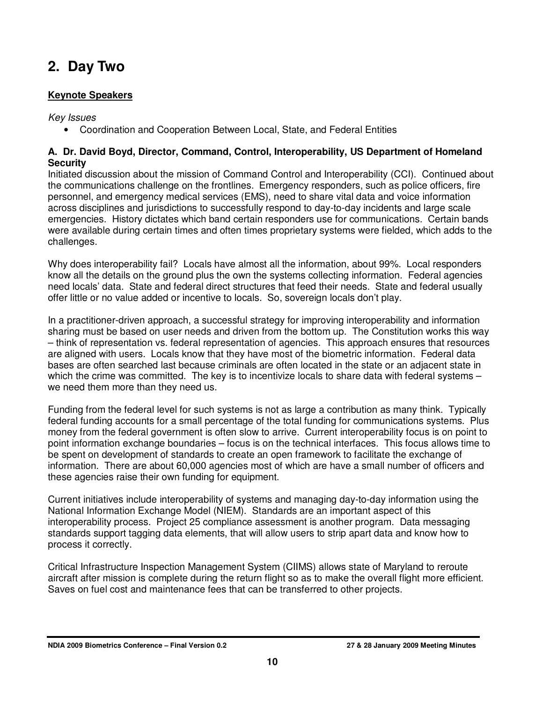# **2. Day Two**

## **Keynote Speakers**

Key Issues

• Coordination and Cooperation Between Local, State, and Federal Entities

#### **A. Dr. David Boyd, Director, Command, Control, Interoperability, US Department of Homeland Security**

Initiated discussion about the mission of Command Control and Interoperability (CCI). Continued about the communications challenge on the frontlines. Emergency responders, such as police officers, fire personnel, and emergency medical services (EMS), need to share vital data and voice information across disciplines and jurisdictions to successfully respond to day-to-day incidents and large scale emergencies. History dictates which band certain responders use for communications. Certain bands were available during certain times and often times proprietary systems were fielded, which adds to the challenges.

Why does interoperability fail? Locals have almost all the information, about 99%. Local responders know all the details on the ground plus the own the systems collecting information. Federal agencies need locals' data. State and federal direct structures that feed their needs. State and federal usually offer little or no value added or incentive to locals. So, sovereign locals don't play.

In a practitioner-driven approach, a successful strategy for improving interoperability and information sharing must be based on user needs and driven from the bottom up. The Constitution works this way – think of representation vs. federal representation of agencies. This approach ensures that resources are aligned with users. Locals know that they have most of the biometric information. Federal data bases are often searched last because criminals are often located in the state or an adjacent state in which the crime was committed. The key is to incentivize locals to share data with federal systems – we need them more than they need us.

Funding from the federal level for such systems is not as large a contribution as many think. Typically federal funding accounts for a small percentage of the total funding for communications systems. Plus money from the federal government is often slow to arrive. Current interoperability focus is on point to point information exchange boundaries – focus is on the technical interfaces. This focus allows time to be spent on development of standards to create an open framework to facilitate the exchange of information. There are about 60,000 agencies most of which are have a small number of officers and these agencies raise their own funding for equipment.

Current initiatives include interoperability of systems and managing day-to-day information using the National Information Exchange Model (NIEM). Standards are an important aspect of this interoperability process. Project 25 compliance assessment is another program. Data messaging standards support tagging data elements, that will allow users to strip apart data and know how to process it correctly.

Critical Infrastructure Inspection Management System (CIIMS) allows state of Maryland to reroute aircraft after mission is complete during the return flight so as to make the overall flight more efficient. Saves on fuel cost and maintenance fees that can be transferred to other projects.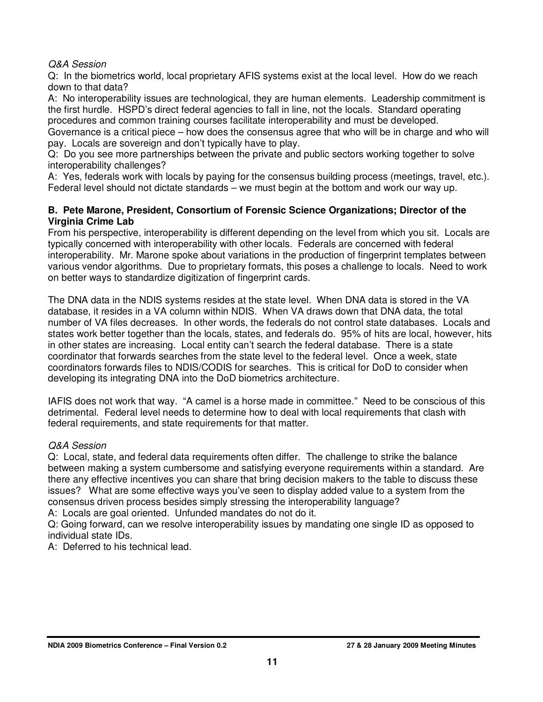#### Q&A Session

Q: In the biometrics world, local proprietary AFIS systems exist at the local level. How do we reach down to that data?

A: No interoperability issues are technological, they are human elements. Leadership commitment is the first hurdle. HSPD's direct federal agencies to fall in line, not the locals. Standard operating procedures and common training courses facilitate interoperability and must be developed.

Governance is a critical piece – how does the consensus agree that who will be in charge and who will pay. Locals are sovereign and don't typically have to play.

Q: Do you see more partnerships between the private and public sectors working together to solve interoperability challenges?

A: Yes, federals work with locals by paying for the consensus building process (meetings, travel, etc.). Federal level should not dictate standards – we must begin at the bottom and work our way up.

#### **B. Pete Marone, President, Consortium of Forensic Science Organizations; Director of the Virginia Crime Lab**

From his perspective, interoperability is different depending on the level from which you sit. Locals are typically concerned with interoperability with other locals. Federals are concerned with federal interoperability. Mr. Marone spoke about variations in the production of fingerprint templates between various vendor algorithms. Due to proprietary formats, this poses a challenge to locals. Need to work on better ways to standardize digitization of fingerprint cards.

The DNA data in the NDIS systems resides at the state level. When DNA data is stored in the VA database, it resides in a VA column within NDIS. When VA draws down that DNA data, the total number of VA files decreases. In other words, the federals do not control state databases. Locals and states work better together than the locals, states, and federals do. 95% of hits are local, however, hits in other states are increasing. Local entity can't search the federal database. There is a state coordinator that forwards searches from the state level to the federal level. Once a week, state coordinators forwards files to NDIS/CODIS for searches. This is critical for DoD to consider when developing its integrating DNA into the DoD biometrics architecture.

IAFIS does not work that way. "A camel is a horse made in committee." Need to be conscious of this detrimental. Federal level needs to determine how to deal with local requirements that clash with federal requirements, and state requirements for that matter.

## Q&A Session

Q: Local, state, and federal data requirements often differ. The challenge to strike the balance between making a system cumbersome and satisfying everyone requirements within a standard. Are there any effective incentives you can share that bring decision makers to the table to discuss these issues? What are some effective ways you've seen to display added value to a system from the consensus driven process besides simply stressing the interoperability language?

A: Locals are goal oriented. Unfunded mandates do not do it.

Q: Going forward, can we resolve interoperability issues by mandating one single ID as opposed to individual state IDs.

A: Deferred to his technical lead.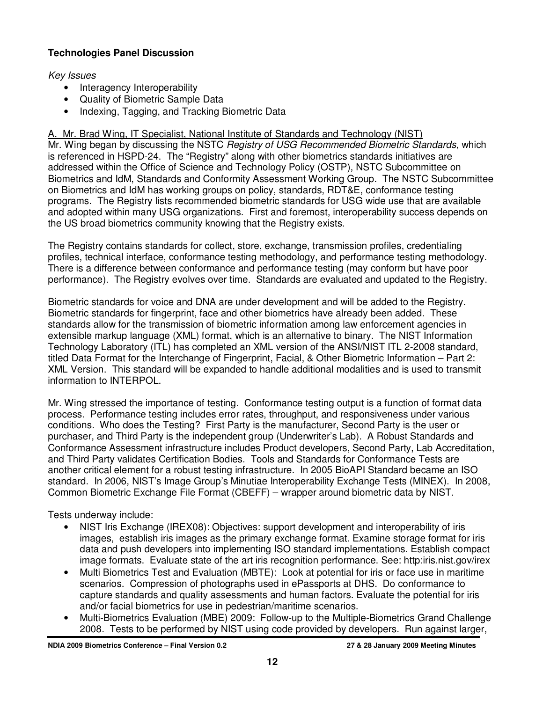## **Technologies Panel Discussion**

#### Key Issues

- Interagency Interoperability
- Quality of Biometric Sample Data
- Indexing, Tagging, and Tracking Biometric Data

A. Mr. Brad Wing, IT Specialist, National Institute of Standards and Technology (NIST) Mr. Wing began by discussing the NSTC Registry of USG Recommended Biometric Standards, which is referenced in HSPD-24. The "Registry" along with other biometrics standards initiatives are addressed within the Office of Science and Technology Policy (OSTP), NSTC Subcommittee on Biometrics and IdM, Standards and Conformity Assessment Working Group. The NSTC Subcommittee on Biometrics and IdM has working groups on policy, standards, RDT&E, conformance testing programs. The Registry lists recommended biometric standards for USG wide use that are available and adopted within many USG organizations. First and foremost, interoperability success depends on the US broad biometrics community knowing that the Registry exists.

The Registry contains standards for collect, store, exchange, transmission profiles, credentialing profiles, technical interface, conformance testing methodology, and performance testing methodology. There is a difference between conformance and performance testing (may conform but have poor performance). The Registry evolves over time. Standards are evaluated and updated to the Registry.

Biometric standards for voice and DNA are under development and will be added to the Registry. Biometric standards for fingerprint, face and other biometrics have already been added. These standards allow for the transmission of biometric information among law enforcement agencies in extensible markup language (XML) format, which is an alternative to binary. The NIST Information Technology Laboratory (ITL) has completed an XML version of the ANSI/NIST ITL 2-2008 standard, titled Data Format for the Interchange of Fingerprint, Facial, & Other Biometric Information – Part 2: XML Version. This standard will be expanded to handle additional modalities and is used to transmit information to INTERPOL.

Mr. Wing stressed the importance of testing. Conformance testing output is a function of format data process. Performance testing includes error rates, throughput, and responsiveness under various conditions. Who does the Testing? First Party is the manufacturer, Second Party is the user or purchaser, and Third Party is the independent group (Underwriter's Lab). A Robust Standards and Conformance Assessment infrastructure includes Product developers, Second Party, Lab Accreditation, and Third Party validates Certification Bodies. Tools and Standards for Conformance Tests are another critical element for a robust testing infrastructure. In 2005 BioAPI Standard became an ISO standard. In 2006, NIST's Image Group's Minutiae Interoperability Exchange Tests (MINEX). In 2008, Common Biometric Exchange File Format (CBEFF) – wrapper around biometric data by NIST.

Tests underway include:

- NIST Iris Exchange (IREX08): Objectives: support development and interoperability of iris images, establish iris images as the primary exchange format. Examine storage format for iris data and push developers into implementing ISO standard implementations. Establish compact image formats. Evaluate state of the art iris recognition performance. See: http:iris.nist.gov/irex
- Multi Biometrics Test and Evaluation (MBTE): Look at potential for iris or face use in maritime scenarios. Compression of photographs used in ePassports at DHS. Do conformance to capture standards and quality assessments and human factors. Evaluate the potential for iris and/or facial biometrics for use in pedestrian/maritime scenarios.
- Multi-Biometrics Evaluation (MBE) 2009: Follow-up to the Multiple-Biometrics Grand Challenge 2008. Tests to be performed by NIST using code provided by developers. Run against larger,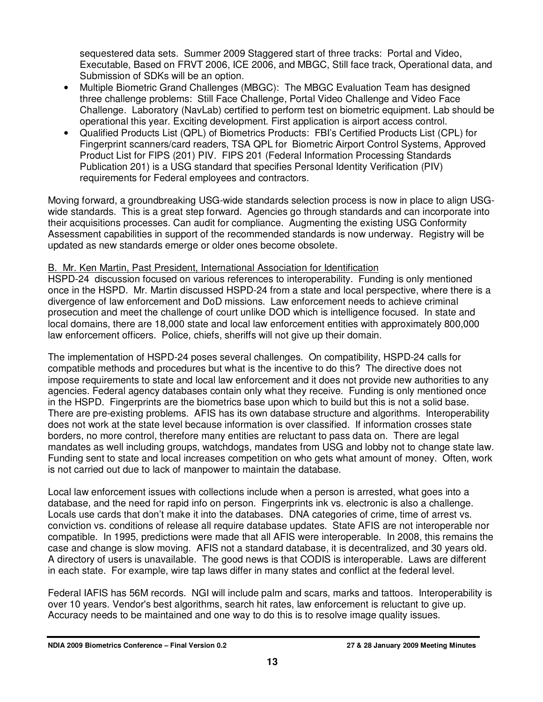sequestered data sets. Summer 2009 Staggered start of three tracks: Portal and Video, Executable, Based on FRVT 2006, ICE 2006, and MBGC, Still face track, Operational data, and Submission of SDKs will be an option.

- Multiple Biometric Grand Challenges (MBGC): The MBGC Evaluation Team has designed three challenge problems: Still Face Challenge, Portal Video Challenge and Video Face Challenge. Laboratory (NavLab) certified to perform test on biometric equipment. Lab should be operational this year. Exciting development. First application is airport access control.
- Qualified Products List (QPL) of Biometrics Products: FBI's Certified Products List (CPL) for Fingerprint scanners/card readers, TSA QPL for Biometric Airport Control Systems, Approved Product List for FIPS (201) PIV. FIPS 201 (Federal Information Processing Standards Publication 201) is a USG standard that specifies Personal Identity Verification (PIV) requirements for Federal employees and contractors.

Moving forward, a groundbreaking USG-wide standards selection process is now in place to align USGwide standards. This is a great step forward. Agencies go through standards and can incorporate into their acquisitions processes. Can audit for compliance. Augmenting the existing USG Conformity Assessment capabilities in support of the recommended standards is now underway. Registry will be updated as new standards emerge or older ones become obsolete.

#### B. Mr. Ken Martin, Past President, International Association for Identification

HSPD-24 discussion focused on various references to interoperability. Funding is only mentioned once in the HSPD. Mr. Martin discussed HSPD-24 from a state and local perspective, where there is a divergence of law enforcement and DoD missions. Law enforcement needs to achieve criminal prosecution and meet the challenge of court unlike DOD which is intelligence focused. In state and local domains, there are 18,000 state and local law enforcement entities with approximately 800,000 law enforcement officers. Police, chiefs, sheriffs will not give up their domain.

The implementation of HSPD-24 poses several challenges. On compatibility, HSPD-24 calls for compatible methods and procedures but what is the incentive to do this? The directive does not impose requirements to state and local law enforcement and it does not provide new authorities to any agencies. Federal agency databases contain only what they receive. Funding is only mentioned once in the HSPD. Fingerprints are the biometrics base upon which to build but this is not a solid base. There are pre-existing problems. AFIS has its own database structure and algorithms. Interoperability does not work at the state level because information is over classified. If information crosses state borders, no more control, therefore many entities are reluctant to pass data on. There are legal mandates as well including groups, watchdogs, mandates from USG and lobby not to change state law. Funding sent to state and local increases competition on who gets what amount of money. Often, work is not carried out due to lack of manpower to maintain the database.

Local law enforcement issues with collections include when a person is arrested, what goes into a database, and the need for rapid info on person. Fingerprints ink vs. electronic is also a challenge. Locals use cards that don't make it into the databases. DNA categories of crime, time of arrest vs. conviction vs. conditions of release all require database updates. State AFIS are not interoperable nor compatible. In 1995, predictions were made that all AFIS were interoperable. In 2008, this remains the case and change is slow moving. AFIS not a standard database, it is decentralized, and 30 years old. A directory of users is unavailable. The good news is that CODIS is interoperable. Laws are different in each state. For example, wire tap laws differ in many states and conflict at the federal level.

Federal IAFIS has 56M records. NGI will include palm and scars, marks and tattoos. Interoperability is over 10 years. Vendor's best algorithms, search hit rates, law enforcement is reluctant to give up. Accuracy needs to be maintained and one way to do this is to resolve image quality issues.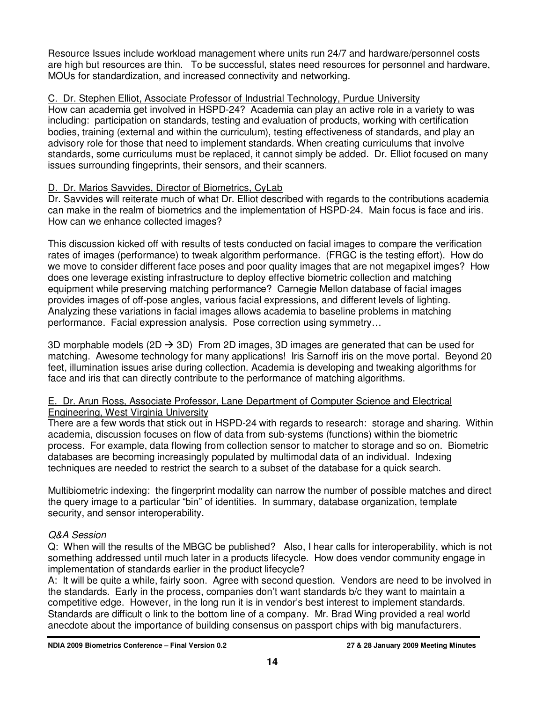Resource Issues include workload management where units run 24/7 and hardware/personnel costs are high but resources are thin. To be successful, states need resources for personnel and hardware, MOUs for standardization, and increased connectivity and networking.

## C. Dr. Stephen Elliot, Associate Professor of Industrial Technology, Purdue University

How can academia get involved in HSPD-24? Academia can play an active role in a variety to was including: participation on standards, testing and evaluation of products, working with certification bodies, training (external and within the curriculum), testing effectiveness of standards, and play an advisory role for those that need to implement standards. When creating curriculums that involve standards, some curriculums must be replaced, it cannot simply be added. Dr. Elliot focused on many issues surrounding fingeprints, their sensors, and their scanners.

## D. Dr. Marios Savvides, Director of Biometrics, CyLab

Dr. Savvides will reiterate much of what Dr. Elliot described with regards to the contributions academia can make in the realm of biometrics and the implementation of HSPD-24. Main focus is face and iris. How can we enhance collected images?

This discussion kicked off with results of tests conducted on facial images to compare the verification rates of images (performance) to tweak algorithm performance. (FRGC is the testing effort). How do we move to consider different face poses and poor quality images that are not megapixel imges? How does one leverage existing infrastructure to deploy effective biometric collection and matching equipment while preserving matching performance? Carnegie Mellon database of facial images provides images of off-pose angles, various facial expressions, and different levels of lighting. Analyzing these variations in facial images allows academia to baseline problems in matching performance. Facial expression analysis. Pose correction using symmetry…

3D morphable models (2D  $\rightarrow$  3D) From 2D images, 3D images are generated that can be used for matching. Awesome technology for many applications! Iris Sarnoff iris on the move portal. Beyond 20 feet, illumination issues arise during collection. Academia is developing and tweaking algorithms for face and iris that can directly contribute to the performance of matching algorithms.

#### E. Dr. Arun Ross, Associate Professor, Lane Department of Computer Science and Electrical Engineering, West Virginia University

There are a few words that stick out in HSPD-24 with regards to research: storage and sharing. Within academia, discussion focuses on flow of data from sub-systems (functions) within the biometric process. For example, data flowing from collection sensor to matcher to storage and so on. Biometric databases are becoming increasingly populated by multimodal data of an individual. Indexing techniques are needed to restrict the search to a subset of the database for a quick search.

Multibiometric indexing: the fingerprint modality can narrow the number of possible matches and direct the query image to a particular "bin" of identities. In summary, database organization, template security, and sensor interoperability.

## Q&A Session

Q: When will the results of the MBGC be published? Also, I hear calls for interoperability, which is not something addressed until much later in a products lifecycle. How does vendor community engage in implementation of standards earlier in the product lifecycle?

A: It will be quite a while, fairly soon. Agree with second question. Vendors are need to be involved in the standards. Early in the process, companies don't want standards b/c they want to maintain a competitive edge. However, in the long run it is in vendor's best interest to implement standards. Standards are difficult o link to the bottom line of a company. Mr. Brad Wing provided a real world anecdote about the importance of building consensus on passport chips with big manufacturers.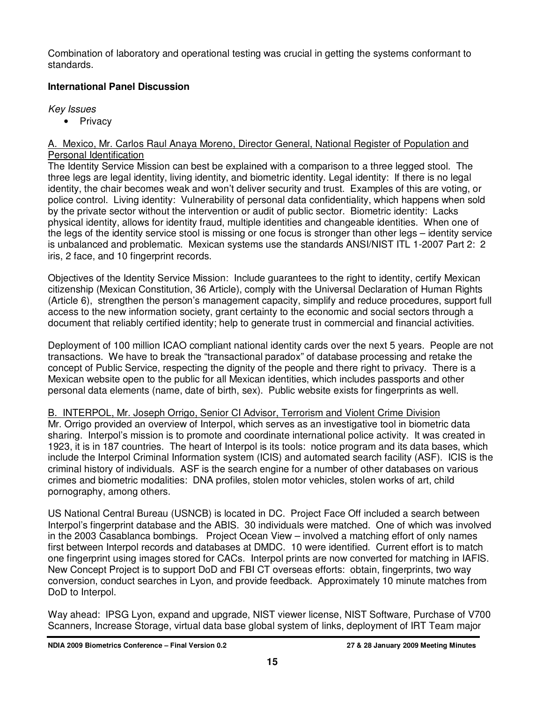Combination of laboratory and operational testing was crucial in getting the systems conformant to standards.

## **International Panel Discussion**

#### Key Issues

• Privacy

#### A. Mexico, Mr. Carlos Raul Anaya Moreno, Director General, National Register of Population and Personal Identification

The Identity Service Mission can best be explained with a comparison to a three legged stool. The three legs are legal identity, living identity, and biometric identity. Legal identity: If there is no legal identity, the chair becomes weak and won't deliver security and trust. Examples of this are voting, or police control. Living identity: Vulnerability of personal data confidentiality, which happens when sold by the private sector without the intervention or audit of public sector. Biometric identity: Lacks physical identity, allows for identity fraud, multiple identities and changeable identities. When one of the legs of the identity service stool is missing or one focus is stronger than other legs – identity service is unbalanced and problematic. Mexican systems use the standards ANSI/NIST ITL 1-2007 Part 2: 2 iris, 2 face, and 10 fingerprint records.

Objectives of the Identity Service Mission: Include guarantees to the right to identity, certify Mexican citizenship (Mexican Constitution, 36 Article), comply with the Universal Declaration of Human Rights (Article 6), strengthen the person's management capacity, simplify and reduce procedures, support full access to the new information society, grant certainty to the economic and social sectors through a document that reliably certified identity; help to generate trust in commercial and financial activities.

Deployment of 100 million ICAO compliant national identity cards over the next 5 years. People are not transactions. We have to break the "transactional paradox" of database processing and retake the concept of Public Service, respecting the dignity of the people and there right to privacy. There is a Mexican website open to the public for all Mexican identities, which includes passports and other personal data elements (name, date of birth, sex). Public website exists for fingerprints as well.

## B. INTERPOL, Mr. Joseph Orrigo, Senior CI Advisor, Terrorism and Violent Crime Division

Mr. Orrigo provided an overview of Interpol, which serves as an investigative tool in biometric data sharing. Interpol's mission is to promote and coordinate international police activity. It was created in 1923, it is in 187 countries. The heart of Interpol is its tools: notice program and its data bases, which include the Interpol Criminal Information system (ICIS) and automated search facility (ASF). ICIS is the criminal history of individuals. ASF is the search engine for a number of other databases on various crimes and biometric modalities: DNA profiles, stolen motor vehicles, stolen works of art, child pornography, among others.

US National Central Bureau (USNCB) is located in DC. Project Face Off included a search between Interpol's fingerprint database and the ABIS. 30 individuals were matched. One of which was involved in the 2003 Casablanca bombings. Project Ocean View – involved a matching effort of only names first between Interpol records and databases at DMDC. 10 were identified. Current effort is to match one fingerprint using images stored for CACs. Interpol prints are now converted for matching in IAFIS. New Concept Project is to support DoD and FBI CT overseas efforts: obtain, fingerprints, two way conversion, conduct searches in Lyon, and provide feedback. Approximately 10 minute matches from DoD to Interpol.

Way ahead: IPSG Lyon, expand and upgrade, NIST viewer license, NIST Software, Purchase of V700 Scanners, Increase Storage, virtual data base global system of links, deployment of IRT Team major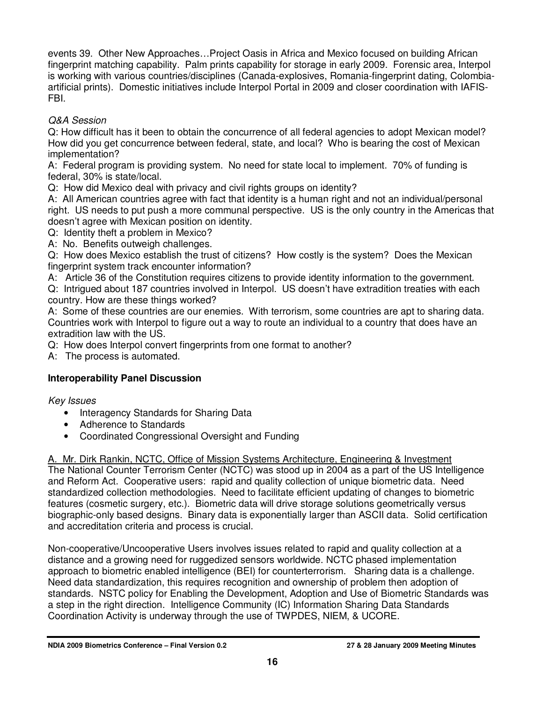events 39. Other New Approaches…Project Oasis in Africa and Mexico focused on building African fingerprint matching capability. Palm prints capability for storage in early 2009. Forensic area, Interpol is working with various countries/disciplines (Canada-explosives, Romania-fingerprint dating, Colombiaartificial prints). Domestic initiatives include Interpol Portal in 2009 and closer coordination with IAFIS-FBI.

## Q&A Session

Q: How difficult has it been to obtain the concurrence of all federal agencies to adopt Mexican model? How did you get concurrence between federal, state, and local? Who is bearing the cost of Mexican implementation?

A: Federal program is providing system. No need for state local to implement. 70% of funding is federal, 30% is state/local.

Q: How did Mexico deal with privacy and civil rights groups on identity?

A: All American countries agree with fact that identity is a human right and not an individual/personal right. US needs to put push a more communal perspective. US is the only country in the Americas that doesn't agree with Mexican position on identity.

Q: Identity theft a problem in Mexico?

A: No. Benefits outweigh challenges.

Q: How does Mexico establish the trust of citizens? How costly is the system? Does the Mexican fingerprint system track encounter information?

A: Article 36 of the Constitution requires citizens to provide identity information to the government.

Q: Intrigued about 187 countries involved in Interpol. US doesn't have extradition treaties with each country. How are these things worked?

A: Some of these countries are our enemies. With terrorism, some countries are apt to sharing data. Countries work with Interpol to figure out a way to route an individual to a country that does have an extradition law with the US.

Q: How does Interpol convert fingerprints from one format to another?

A: The process is automated.

## **Interoperability Panel Discussion**

Key Issues

- Interagency Standards for Sharing Data
- Adherence to Standards
- Coordinated Congressional Oversight and Funding

A. Mr. Dirk Rankin, NCTC, Office of Mission Systems Architecture, Engineering & Investment

The National Counter Terrorism Center (NCTC) was stood up in 2004 as a part of the US Intelligence and Reform Act. Cooperative users: rapid and quality collection of unique biometric data. Need standardized collection methodologies. Need to facilitate efficient updating of changes to biometric features (cosmetic surgery, etc.). Biometric data will drive storage solutions geometrically versus biographic-only based designs. Binary data is exponentially larger than ASCII data. Solid certification and accreditation criteria and process is crucial.

Non-cooperative/Uncooperative Users involves issues related to rapid and quality collection at a distance and a growing need for ruggedized sensors worldwide. NCTC phased implementation approach to biometric enabled intelligence (BEI) for counterterrorism. Sharing data is a challenge. Need data standardization, this requires recognition and ownership of problem then adoption of standards. NSTC policy for Enabling the Development, Adoption and Use of Biometric Standards was a step in the right direction. Intelligence Community (IC) Information Sharing Data Standards Coordination Activity is underway through the use of TWPDES, NIEM, & UCORE.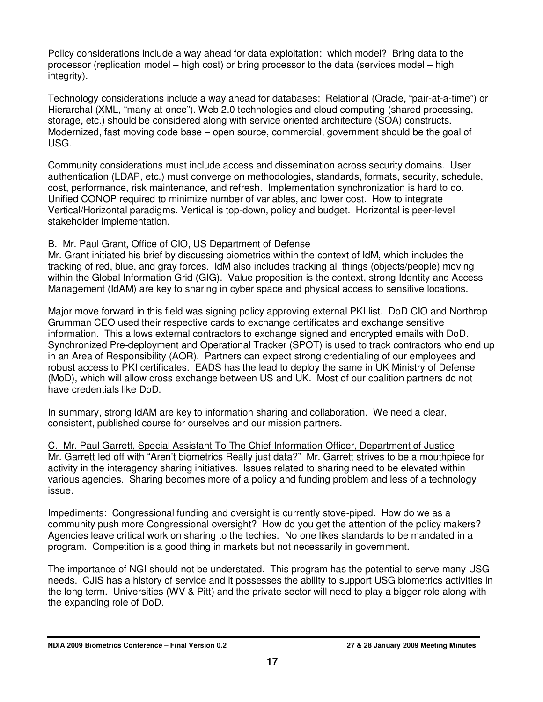Policy considerations include a way ahead for data exploitation: which model? Bring data to the processor (replication model – high cost) or bring processor to the data (services model – high integrity).

Technology considerations include a way ahead for databases: Relational (Oracle, "pair-at-a-time") or Hierarchal (XML, "many-at-once"). Web 2.0 technologies and cloud computing (shared processing, storage, etc.) should be considered along with service oriented architecture (SOA) constructs. Modernized, fast moving code base – open source, commercial, government should be the goal of USG.

Community considerations must include access and dissemination across security domains. User authentication (LDAP, etc.) must converge on methodologies, standards, formats, security, schedule, cost, performance, risk maintenance, and refresh. Implementation synchronization is hard to do. Unified CONOP required to minimize number of variables, and lower cost. How to integrate Vertical/Horizontal paradigms. Vertical is top-down, policy and budget. Horizontal is peer-level stakeholder implementation.

#### B. Mr. Paul Grant, Office of CIO, US Department of Defense

Mr. Grant initiated his brief by discussing biometrics within the context of IdM, which includes the tracking of red, blue, and gray forces. IdM also includes tracking all things (objects/people) moving within the Global Information Grid (GIG). Value proposition is the context, strong Identity and Access Management (IdAM) are key to sharing in cyber space and physical access to sensitive locations.

Major move forward in this field was signing policy approving external PKI list. DoD CIO and Northrop Grumman CEO used their respective cards to exchange certificates and exchange sensitive information. This allows external contractors to exchange signed and encrypted emails with DoD. Synchronized Pre-deployment and Operational Tracker (SPOT) is used to track contractors who end up in an Area of Responsibility (AOR). Partners can expect strong credentialing of our employees and robust access to PKI certificates. EADS has the lead to deploy the same in UK Ministry of Defense (MoD), which will allow cross exchange between US and UK. Most of our coalition partners do not have credentials like DoD.

In summary, strong IdAM are key to information sharing and collaboration. We need a clear, consistent, published course for ourselves and our mission partners.

C. Mr. Paul Garrett, Special Assistant To The Chief Information Officer, Department of Justice Mr. Garrett led off with "Aren't biometrics Really just data?" Mr. Garrett strives to be a mouthpiece for activity in the interagency sharing initiatives. Issues related to sharing need to be elevated within various agencies. Sharing becomes more of a policy and funding problem and less of a technology issue.

Impediments: Congressional funding and oversight is currently stove-piped. How do we as a community push more Congressional oversight? How do you get the attention of the policy makers? Agencies leave critical work on sharing to the techies. No one likes standards to be mandated in a program. Competition is a good thing in markets but not necessarily in government.

The importance of NGI should not be understated. This program has the potential to serve many USG needs. CJIS has a history of service and it possesses the ability to support USG biometrics activities in the long term. Universities (WV & Pitt) and the private sector will need to play a bigger role along with the expanding role of DoD.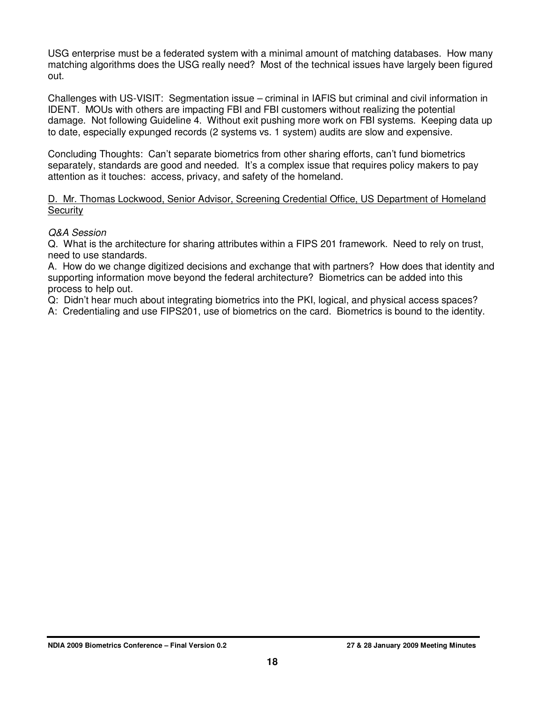USG enterprise must be a federated system with a minimal amount of matching databases. How many matching algorithms does the USG really need? Most of the technical issues have largely been figured out.

Challenges with US-VISIT: Segmentation issue – criminal in IAFIS but criminal and civil information in IDENT. MOUs with others are impacting FBI and FBI customers without realizing the potential damage. Not following Guideline 4. Without exit pushing more work on FBI systems. Keeping data up to date, especially expunged records (2 systems vs. 1 system) audits are slow and expensive.

Concluding Thoughts: Can't separate biometrics from other sharing efforts, can't fund biometrics separately, standards are good and needed. It's a complex issue that requires policy makers to pay attention as it touches: access, privacy, and safety of the homeland.

D. Mr. Thomas Lockwood, Senior Advisor, Screening Credential Office, US Department of Homeland **Security** 

#### Q&A Session

Q. What is the architecture for sharing attributes within a FIPS 201 framework. Need to rely on trust, need to use standards.

A. How do we change digitized decisions and exchange that with partners? How does that identity and supporting information move beyond the federal architecture? Biometrics can be added into this process to help out.

Q: Didn't hear much about integrating biometrics into the PKI, logical, and physical access spaces?

A: Credentialing and use FIPS201, use of biometrics on the card. Biometrics is bound to the identity.